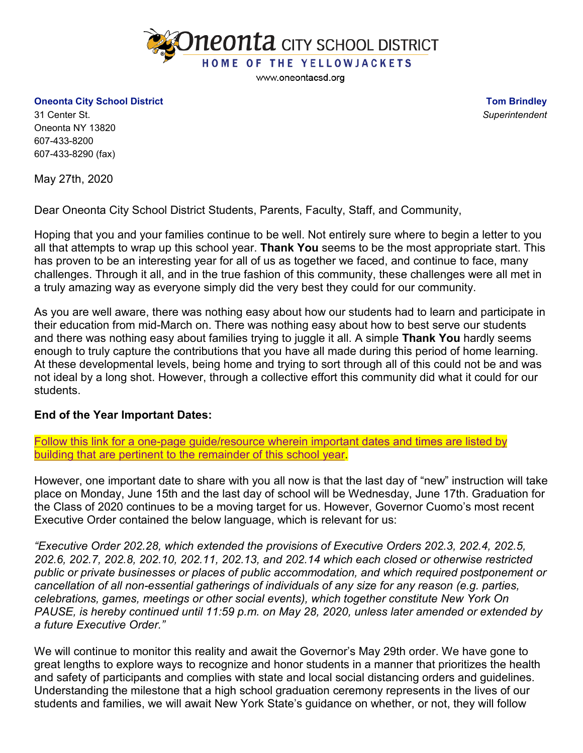

www.oneontacsd.org

**Oneonta City School District**

**Tom Brindley** *Superintendent*

31 Center St. Oneonta NY 13820 607-433-8200 607-433-8290 (fax)

May 27th, 2020

Dear Oneonta City School District Students, Parents, Faculty, Staff, and Community,

Hoping that you and your families continue to be well. Not entirely sure where to begin a letter to you all that attempts to wrap up this school year. **Thank You** seems to be the most appropriate start. This has proven to be an interesting year for all of us as together we faced, and continue to face, many challenges. Through it all, and in the true fashion of this community, these challenges were all met in a truly amazing way as everyone simply did the very best they could for our community.

As you are well aware, there was nothing easy about how our students had to learn and participate in their education from mid-March on. There was nothing easy about how to best serve our students and there was nothing easy about families trying to juggle it all. A simple **Thank You** hardly seems enough to truly capture the contributions that you have all made during this period of home learning. At these developmental levels, being home and trying to sort through all of this could not be and was not ideal by a long shot. However, through a collective effort this community did what it could for our students.

## **End of the Year Important Dates:**

Follow this link for a one-page guide/resource [wherein important dates and times are listed by](https://docs.google.com/document/d/1ZwoqevcliIe0qcjU0ySz89w9-7OwcMwN9NjdOPKu_sc/edit?usp=sharing)  [building that are pertinent to the remainder of this school year.](https://docs.google.com/document/d/1ZwoqevcliIe0qcjU0ySz89w9-7OwcMwN9NjdOPKu_sc/edit?usp=sharing)

However, one important date to share with you all now is that the last day of "new" instruction will take place on Monday, June 15th and the last day of school will be Wednesday, June 17th. Graduation for the Class of 2020 continues to be a moving target for us. However, Governor Cuomo's most recent Executive Order contained the below language, which is relevant for us:

*"Executive Order 202.28, which extended the provisions of Executive Orders 202.3, 202.4, 202.5, 202.6, 202.7, 202.8, 202.10, 202.11, 202.13, and 202.14 which each closed or otherwise restricted public or private businesses or places of public accommodation, and which required postponement or cancellation of all non-essential gatherings of individuals of any size for any reason (e.g. parties, celebrations, games, meetings or other social events), which together constitute New York On PAUSE, is hereby continued until 11:59 p.m. on May 28, 2020, unless later amended or extended by a future Executive Order."*

We will continue to monitor this reality and await the Governor's May 29th order. We have gone to great lengths to explore ways to recognize and honor students in a manner that prioritizes the health and safety of participants and complies with state and local social distancing orders and guidelines. Understanding the milestone that a high school graduation ceremony represents in the lives of our students and families, we will await New York State's guidance on whether, or not, they will follow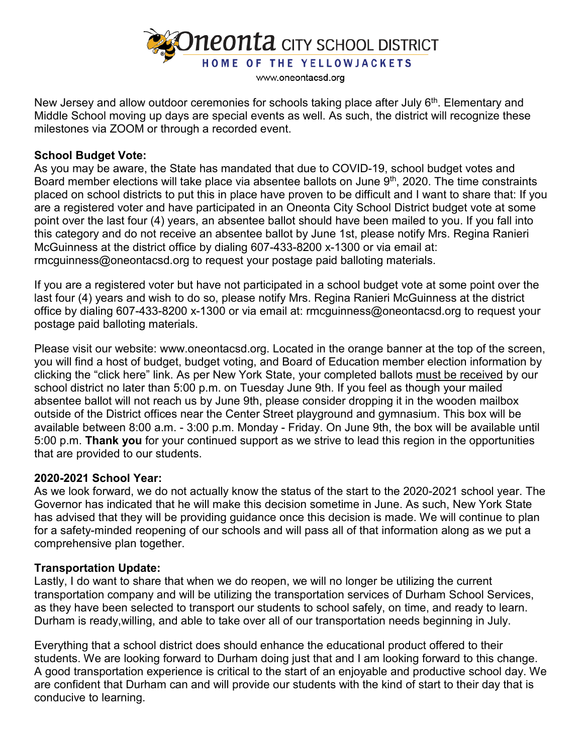

www.oneontacsd.org

New Jersey and allow outdoor ceremonies for schools taking place after July 6<sup>th</sup>. Elementary and Middle School moving up days are special events as well. As such, the district will recognize these milestones via ZOOM or through a recorded event.

## **School Budget Vote:**

As you may be aware, the State has mandated that due to COVID-19, school budget votes and Board member elections will take place via absentee ballots on June 9<sup>th</sup>, 2020. The time constraints placed on school districts to put this in place have proven to be difficult and I want to share that: If you are a registered voter and have participated in an Oneonta City School District budget vote at some point over the last four (4) years, an absentee ballot should have been mailed to you. If you fall into this category and do not receive an absentee ballot by June 1st, please notify Mrs. Regina Ranieri McGuinness at the district office by dialing 607-433-8200 x-1300 or via email at: rmcguinness@oneontacsd.org to request your postage paid balloting materials.

If you are a registered voter but have not participated in a school budget vote at some point over the last four (4) years and wish to do so, please notify Mrs. Regina Ranieri McGuinness at the district office by dialing 607-433-8200 x-1300 or via email at: rmcguinness@oneontacsd.org to request your postage paid balloting materials.

Please visit our website: www.oneontacsd.org. Located in the orange banner at the top of the screen, you will find a host of budget, budget voting, and Board of Education member election information by clicking the "click here" link. As per New York State, your completed ballots must be received by our school district no later than 5:00 p.m. on Tuesday June 9th. If you feel as though your mailed absentee ballot will not reach us by June 9th, please consider dropping it in the wooden mailbox outside of the District offices near the Center Street playground and gymnasium. This box will be available between 8:00 a.m. - 3:00 p.m. Monday - Friday. On June 9th, the box will be available until 5:00 p.m. **Thank you** for your continued support as we strive to lead this region in the opportunities that are provided to our students.

## **2020-2021 School Year:**

As we look forward, we do not actually know the status of the start to the 2020-2021 school year. The Governor has indicated that he will make this decision sometime in June. As such, New York State has advised that they will be providing guidance once this decision is made. We will continue to plan for a safety-minded reopening of our schools and will pass all of that information along as we put a comprehensive plan together.

## **Transportation Update:**

Lastly, I do want to share that when we do reopen, we will no longer be utilizing the current transportation company and will be utilizing the transportation services of Durham School Services, as they have been selected to transport our students to school safely, on time, and ready to learn. Durham is ready,willing, and able to take over all of our transportation needs beginning in July.

Everything that a school district does should enhance the educational product offered to their students. We are looking forward to Durham doing just that and I am looking forward to this change. A good transportation experience is critical to the start of an enjoyable and productive school day. We are confident that Durham can and will provide our students with the kind of start to their day that is conducive to learning.